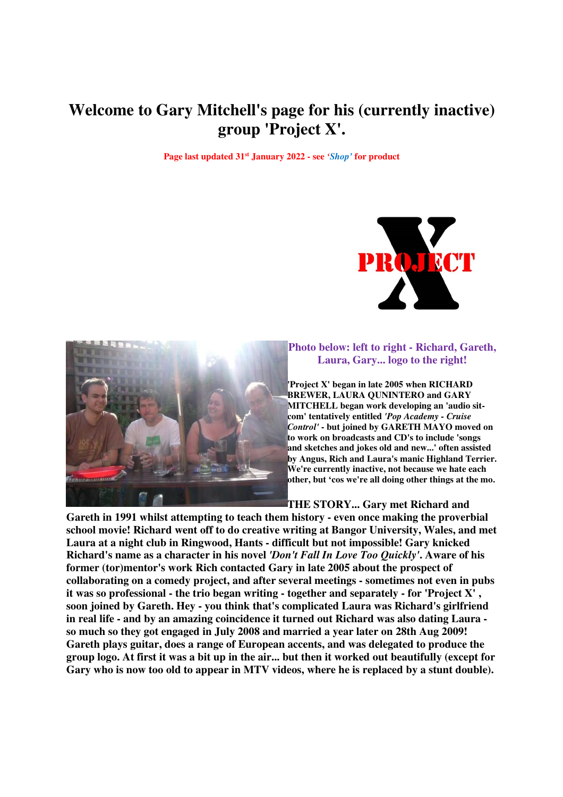# **Welcome to Gary Mitchell's page for his (currently inactive) group 'Project X'.**

**Page last updated 31st January 2022 - see** *'Shop'* **for product** 





## **Photo below: left to right - Richard, Gareth, Laura, Gary... logo to the right!**

**'Project X' began in late 2005 when RICHARD BREWER, LAURA QUNINTERO and GARY MITCHELL began work developing an 'audio sitcom' tentatively entitled** *'Pop Academy - Cruise Control'* **- but joined by GARETH MAYO moved on to work on broadcasts and CD's to include 'songs and sketches and jokes old and new...' often assisted by Angus, Rich and Laura's manic Highland Terrier. We're currently inactive, not because we hate each other, but 'cos we're all doing other things at the mo.** 

**THE STORY... Gary met Richard and** 

**Gareth in 1991 whilst attempting to teach them history - even once making the proverbial school movie! Richard went off to do creative writing at Bangor University, Wales, and met Laura at a night club in Ringwood, Hants - difficult but not impossible! Gary knicked Richard's name as a character in his novel** *'Don't Fall In Love Too Quickly'***. Aware of his former (tor)mentor's work Rich contacted Gary in late 2005 about the prospect of collaborating on a comedy project, and after several meetings - sometimes not even in pubs it was so professional - the trio began writing - together and separately - for 'Project X' , soon joined by Gareth. Hey - you think that's complicated Laura was Richard's girlfriend in real life - and by an amazing coincidence it turned out Richard was also dating Laura so much so they got engaged in July 2008 and married a year later on 28th Aug 2009! Gareth plays guitar, does a range of European accents, and was delegated to produce the group logo. At first it was a bit up in the air... but then it worked out beautifully (except for Gary who is now too old to appear in MTV videos, where he is replaced by a stunt double).**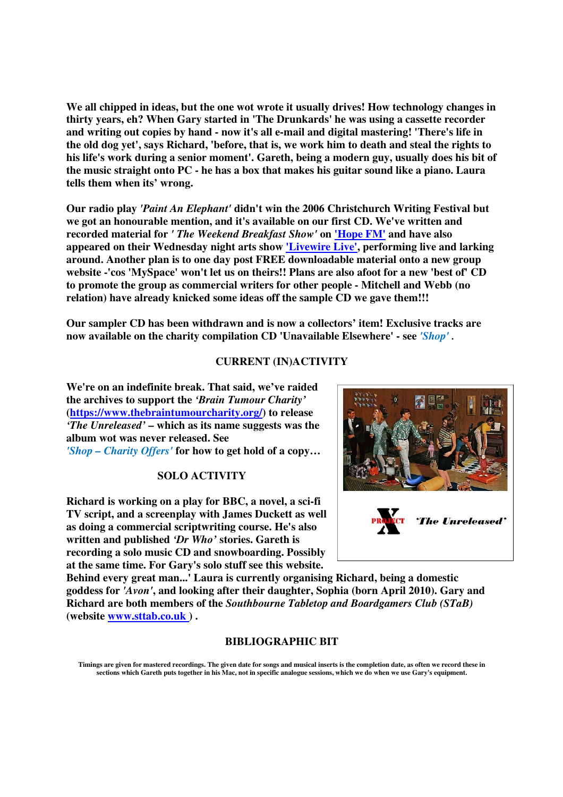**We all chipped in ideas, but the one wot wrote it usually drives! How technology changes in thirty years, eh? When Gary started in 'The Drunkards' he was using a cassette recorder and writing out copies by hand - now it's all e-mail and digital mastering! 'There's life in the old dog yet', says Richard, 'before, that is, we work him to death and steal the rights to his life's work during a senior moment'. Gareth, being a modern guy, usually does his bit of the music straight onto PC - he has a box that makes his guitar sound like a piano. Laura tells them when its' wrong.** 

**Our radio play** *'Paint An Elephant'* **didn't win the 2006 Christchurch Writing Festival but we got an honourable mention, and it's available on our first CD. We've written and recorded material for** *' The Weekend Breakfast Show'* **on 'Hope FM' and have also appeared on their Wednesday night arts show 'Livewire Live', performing live and larking around. Another plan is to one day post FREE downloadable material onto a new group website -'cos 'MySpace' won't let us on theirs!! Plans are also afoot for a new 'best of' CD to promote the group as commercial writers for other people - Mitchell and Webb (no relation) have already knicked some ideas off the sample CD we gave them!!!** 

**Our sampler CD has been withdrawn and is now a collectors' item! Exclusive tracks are now available on the charity compilation CD 'Unavailable Elsewhere' - see** *'Shop' .* 

### **CURRENT (IN)ACTIVITY**

**We're on an indefinite break. That said, we've raided the archives to support the** *'Brain Tumour Charity'*  **(https://www.thebraintumourcharity.org/) to release**  *'The Unreleased'* **– which as its name suggests was the album wot was never released. See**  *'Shop – Charity Offers'* **for how to get hold of a copy…** 

### **SOLO ACTIVITY**

**Richard is working on a play for BBC, a novel, a sci-fi TV script, and a screenplay with James Duckett as well as doing a commercial scriptwriting course. He's also written and published** *'Dr Who'* **stories. Gareth is recording a solo music CD and snowboarding. Possibly**  at the same time. For Gary's solo stuff see this website.



**Behind every great man...' Laura is currently organising Richard, being a domestic goddess for** *'Avon'***, and looking after their daughter, Sophia (born April 2010). Gary and Richard are both members of the** *Southbourne Tabletop and Boardgamers Club (STaB)* **(website www.sttab.co.uk ) .** 

#### **BIBLIOGRAPHIC BIT**

**Timings are given for mastered recordings. The given date for songs and musical inserts is the completion date, as often we record these in sections which Gareth puts together in his Mac, not in specific analogue sessions, which we do when we use Gary's equipment.**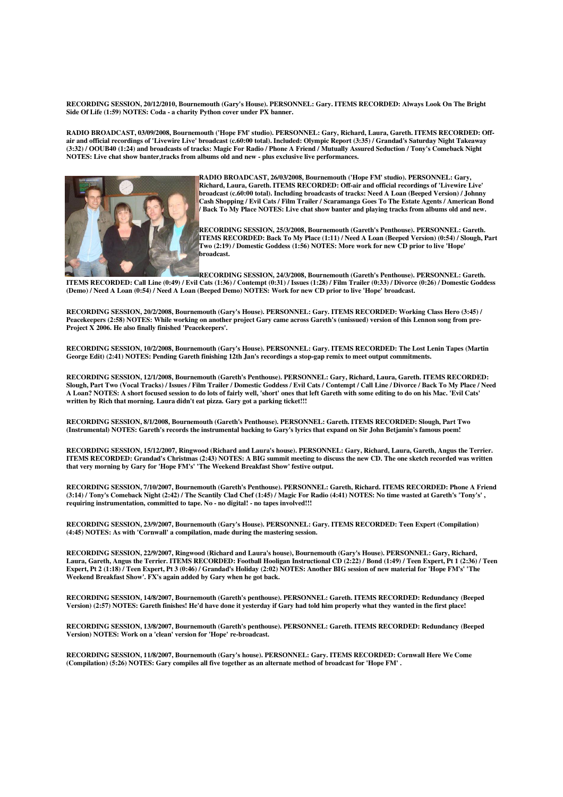**RECORDING SESSION, 20/12/2010, Bournemouth (Gary's House). PERSONNEL: Gary. ITEMS RECORDED: Always Look On The Bright Side Of Life (1:59) NOTES: Coda - a charity Python cover under PX banner.** 

**RADIO BROADCAST, 03/09/2008, Bournemouth ('Hope FM' studio). PERSONNEL: Gary, Richard, Laura, Gareth. ITEMS RECORDED: Offair and official recordings of 'Livewire Live' broadcast (c.60:00 total). Included: Olympic Report (3:35) / Grandad's Saturday Night Takeaway (3:32) / OOUB40 (1:24) and broadcasts of tracks: Magic For Radio / Phone A Friend / Mutually Assured Seduction / Tony's Comeback Night NOTES: Live chat show banter,tracks from albums old and new - plus exclusive live performances.** 



**RADIO BROADCAST, 26/03/2008, Bournemouth ('Hope FM' studio). PERSONNEL: Gary, Richard, Laura, Gareth. ITEMS RECORDED: Off-air and official recordings of 'Livewire Live' broadcast (c.60:00 total). Including broadcasts of tracks: Need A Loan (Beeped Version) / Johnny Cash Shopping / Evil Cats / Film Trailer / Scaramanga Goes To The Estate Agents / American Bond / Back To My Place NOTES: Live chat show banter and playing tracks from albums old and new.** 

**RECORDING SESSION, 25/3/2008, Bournemouth (Gareth's Penthouse). PERSONNEL: Gareth. ITEMS RECORDED: Back To My Place (1:11) / Need A Loan (Beeped Version) (0:54) / Slough, Part Two (2:19) / Domestic Goddess (1:56) NOTES: More work for new CD prior to live 'Hope' broadcast.** 

**RECORDING SESSION, 24/3/2008, Bournemouth (Gareth's Penthouse). PERSONNEL: Gareth. ITEMS RECORDED: Call Line (0:49) / Evil Cats (1:36) / Contempt (0:31) / Issues (1:28) / Film Trailer (0:33) / Divorce (0:26) / Domestic Goddess (Demo) / Need A Loan (0:54) / Need A Loan (Beeped Demo) NOTES: Work for new CD prior to live 'Hope' broadcast.** 

**RECORDING SESSION, 20/2/2008, Bournemouth (Gary's House). PERSONNEL: Gary. ITEMS RECORDED: Working Class Hero (3:45) / Peacekeepers (2:58) NOTES: While working on another project Gary came across Gareth's (unissued) version of this Lennon song from pre-Project X 2006. He also finally finished 'Peacekeepers'.** 

**RECORDING SESSION, 10/2/2008, Bournemouth (Gary's House). PERSONNEL: Gary. ITEMS RECORDED: The Lost Lenin Tapes (Martin George Edit) (2:41) NOTES: Pending Gareth finishing 12th Jan's recordings a stop-gap remix to meet output commitments.** 

**RECORDING SESSION, 12/1/2008, Bournemouth (Gareth's Penthouse). PERSONNEL: Gary, Richard, Laura, Gareth. ITEMS RECORDED: Slough, Part Two (Vocal Tracks) / Issues / Film Trailer / Domestic Goddess / Evil Cats / Contempt / Call Line / Divorce / Back To My Place / Need A Loan? NOTES: A short focused session to do lots of fairly well, 'short' ones that left Gareth with some editing to do on his Mac. 'Evil Cats' written by Rich that morning. Laura didn't eat pizza. Gary got a parking ticket!!!** 

**RECORDING SESSION, 8/1/2008, Bournemouth (Gareth's Penthouse). PERSONNEL: Gareth. ITEMS RECORDED: Slough, Part Two (Instrumental) NOTES: Gareth's records the instrumental backing to Gary's lyrics that expand on Sir John Betjamin's famous poem!** 

**RECORDING SESSION, 15/12/2007, Ringwood (Richard and Laura's house). PERSONNEL: Gary, Richard, Laura, Gareth, Angus the Terrier. ITEMS RECORDED: Grandad's Christmas (2:43) NOTES: A BIG summit meeting to discuss the new CD. The one sketch recorded was written that very morning by Gary for 'Hope FM's' 'The Weekend Breakfast Show' festive output.** 

**RECORDING SESSION, 7/10/2007, Bournemouth (Gareth's Penthouse). PERSONNEL: Gareth, Richard. ITEMS RECORDED: Phone A Friend (3:14) / Tony's Comeback Night (2:42) / The Scantily Clad Chef (1:45) / Magic For Radio (4:41) NOTES: No time wasted at Gareth's 'Tony's' , requiring instrumentation, committed to tape. No - no digital! - no tapes involved!!!** 

**RECORDING SESSION, 23/9/2007, Bournemouth (Gary's House). PERSONNEL: Gary. ITEMS RECORDED: Teen Expert (Compilation) (4:45) NOTES: As with 'Cornwall' a compilation, made during the mastering session.** 

**RECORDING SESSION, 22/9/2007, Ringwood (Richard and Laura's house), Bournemouth (Gary's House). PERSONNEL: Gary, Richard, Laura, Gareth, Angus the Terrier. ITEMS RECORDED: Football Hooligan Instructional CD (2:22) / Bond (1:49) / Teen Expert, Pt 1 (2:36) / Teen Expert, Pt 2 (1:18) / Teen Expert, Pt 3 (0:46) / Grandad's Holiday (2:02) NOTES: Another BIG session of new material for 'Hope FM's' 'The Weekend Breakfast Show'. FX's again added by Gary when he got back.** 

**RECORDING SESSION, 14/8/2007, Bournemouth (Gareth's penthouse). PERSONNEL: Gareth. ITEMS RECORDED: Redundancy (Beeped Version) (2:57) NOTES: Gareth finishes! He'd have done it yesterday if Gary had told him properly what they wanted in the first place!** 

**RECORDING SESSION, 13/8/2007, Bournemouth (Gareth's penthouse). PERSONNEL: Gareth. ITEMS RECORDED: Redundancy (Beeped Version) NOTES: Work on a 'clean' version for 'Hope' re-broadcast.** 

**RECORDING SESSION, 11/8/2007, Bournemouth (Gary's house). PERSONNEL: Gary. ITEMS RECORDED: Cornwall Here We Come (Compilation) (5:26) NOTES: Gary compiles all five together as an alternate method of broadcast for 'Hope FM' .**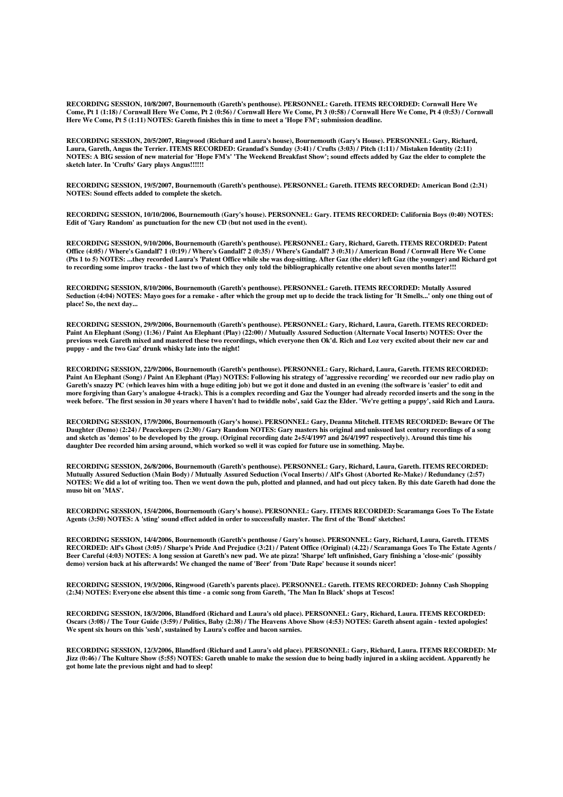**RECORDING SESSION, 10/8/2007, Bournemouth (Gareth's penthouse). PERSONNEL: Gareth. ITEMS RECORDED: Cornwall Here We Come, Pt 1 (1:18) / Cornwall Here We Come, Pt 2 (0:56) / Cornwall Here We Come, Pt 3 (0:58) / Cornwall Here We Come, Pt 4 (0:53) / Cornwall Here We Come, Pt 5 (1:11) NOTES: Gareth finishes this in time to meet a 'Hope FM'; submission deadline.** 

**RECORDING SESSION, 20/5/2007, Ringwood (Richard and Laura's house), Bournemouth (Gary's House). PERSONNEL: Gary, Richard, Laura, Gareth, Angus the Terrier. ITEMS RECORDED: Grandad's Sunday (3:41) / Crufts (3:03) / Pitch (1:11) / Mistaken Identity (2:11) NOTES: A BIG session of new material for 'Hope FM's' 'The Weekend Breakfast Show'; sound effects added by Gaz the elder to complete the sketch later. In 'Crufts' Gary plays Angus!!!!!!** 

**RECORDING SESSION, 19/5/2007, Bournemouth (Gareth's penthouse). PERSONNEL: Gareth. ITEMS RECORDED: American Bond (2:31) NOTES: Sound effects added to complete the sketch.** 

**RECORDING SESSION, 10/10/2006, Bournemouth (Gary's house). PERSONNEL: Gary. ITEMS RECORDED: California Boys (0:40) NOTES: Edit of 'Gary Random' as punctuation for the new CD (but not used in the event).** 

**RECORDING SESSION, 9/10/2006, Bournemouth (Gareth's penthouse). PERSONNEL: Gary, Richard, Gareth. ITEMS RECORDED: Patent Office (4:05) / Where's Gandalf? 1 (0:19) / Where's Gandalf? 2 (0:35) / Where's Gandalf? 3 (0:31) / American Bond / Cornwall Here We Come (Pts 1 to 5) NOTES: ...they recorded Laura's 'Patent Office while she was dog-sitting. After Gaz (the elder) left Gaz (the younger) and Richard got to recording some improv tracks - the last two of which they only told the bibliographically retentive one about seven months later!!!** 

**RECORDING SESSION, 8/10/2006, Bournemouth (Gareth's penthouse). PERSONNEL: Gareth. ITEMS RECORDED: Mutally Assured Seduction (4:04) NOTES: Mayo goes for a remake - after which the group met up to decide the track listing for 'It Smells...' only one thing out of place! So, the next day...** 

**RECORDING SESSION, 29/9/2006, Bournemouth (Gareth's penthouse). PERSONNEL: Gary, Richard, Laura, Gareth. ITEMS RECORDED: Paint An Elephant (Song) (1:36) / Paint An Elephant (Play) (22:00) / Mutually Assured Seduction (Alternate Vocal Inserts) NOTES: Over the previous week Gareth mixed and mastered these two recordings, which everyone then Ok'd. Rich and Loz very excited about their new car and puppy - and the two Gaz' drunk whisky late into the night!** 

**RECORDING SESSION, 22/9/2006, Bournemouth (Gareth's penthouse). PERSONNEL: Gary, Richard, Laura, Gareth. ITEMS RECORDED: Paint An Elephant (Song) / Paint An Elephant (Play) NOTES: Following his strategy of 'aggressive recording' we recorded our new radio play on Gareth's snazzy PC (which leaves him with a huge editing job) but we got it done and dusted in an evening (the software is 'easier' to edit and more forgiving than Gary's analogue 4-track). This is a complex recording and Gaz the Younger had already recorded inserts and the song in the week before. 'The first session in 30 years where I haven't had to twiddle nobs', said Gaz the Elder. 'We're getting a puppy', said Rich and Laura.** 

**RECORDING SESSION, 17/9/2006, Bournemouth (Gary's house). PERSONNEL: Gary, Deanna Mitchell. ITEMS RECORDED: Beware Of The Daughter (Demo) (2:24) / Peacekeepers (2:30) / Gary Random NOTES: Gary masters his original and unissued last century recordings of a song and sketch as 'demos' to be developed by the group. (Original recording date 2+5/4/1997 and 26/4/1997 respectively). Around this time his daughter Dee recorded him arsing around, which worked so well it was copied for future use in something. Maybe.** 

**RECORDING SESSION, 26/8/2006, Bournemouth (Gareth's penthouse). PERSONNEL: Gary, Richard, Laura, Gareth. ITEMS RECORDED: Mutually Assured Seduction (Main Body) / Mutually Assured Seduction (Vocal Inserts) / Alf's Ghost (Aborted Re-Make) / Redundancy (2:57) NOTES: We did a lot of writing too. Then we went down the pub, plotted and planned, and had out piccy taken. By this date Gareth had done the muso bit on 'MAS'.** 

**RECORDING SESSION, 15/4/2006, Bournemouth (Gary's house). PERSONNEL: Gary. ITEMS RECORDED: Scaramanga Goes To The Estate Agents (3:50) NOTES: A 'sting' sound effect added in order to successfully master. The first of the 'Bond' sketches!** 

**RECORDING SESSION, 14/4/2006, Bournemouth (Gareth's penthouse / Gary's house). PERSONNEL: Gary, Richard, Laura, Gareth. ITEMS RECORDED: Alf's Ghost (3:05) / Sharpe's Pride And Prejudice (3:21) / Patent Office (Original) (4.22) / Scaramanga Goes To The Estate Agents / Beer Careful (4:03) NOTES: A long session at Gareth's new pad. We ate pizza! 'Sharpe' left unfinished, Gary finishing a 'close-mic' (possibly demo) version back at his afterwards! We changed the name of 'Beer' from 'Date Rape' because it sounds nicer!** 

**RECORDING SESSION, 19/3/2006, Ringwood (Gareth's parents place). PERSONNEL: Gareth. ITEMS RECORDED: Johnny Cash Shopping (2:34) NOTES: Everyone else absent this time - a comic song from Gareth, 'The Man In Black' shops at Tescos!** 

**RECORDING SESSION, 18/3/2006, Blandford (Richard and Laura's old place). PERSONNEL: Gary, Richard, Laura. ITEMS RECORDED: Oscars (3:08) / The Tour Guide (3:59) / Politics, Baby (2:38) / The Heavens Above Show (4:53) NOTES: Gareth absent again - texted apologies! We spent six hours on this 'sesh', sustained by Laura's coffee and bacon sarnies.** 

**RECORDING SESSION, 12/3/2006, Blandford (Richard and Laura's old place). PERSONNEL: Gary, Richard, Laura. ITEMS RECORDED: Mr Jizz (0:46) / The Kulture Show (5:55) NOTES: Gareth unable to make the session due to being badly injured in a skiing accident. Apparently he got home late the previous night and had to sleep!**